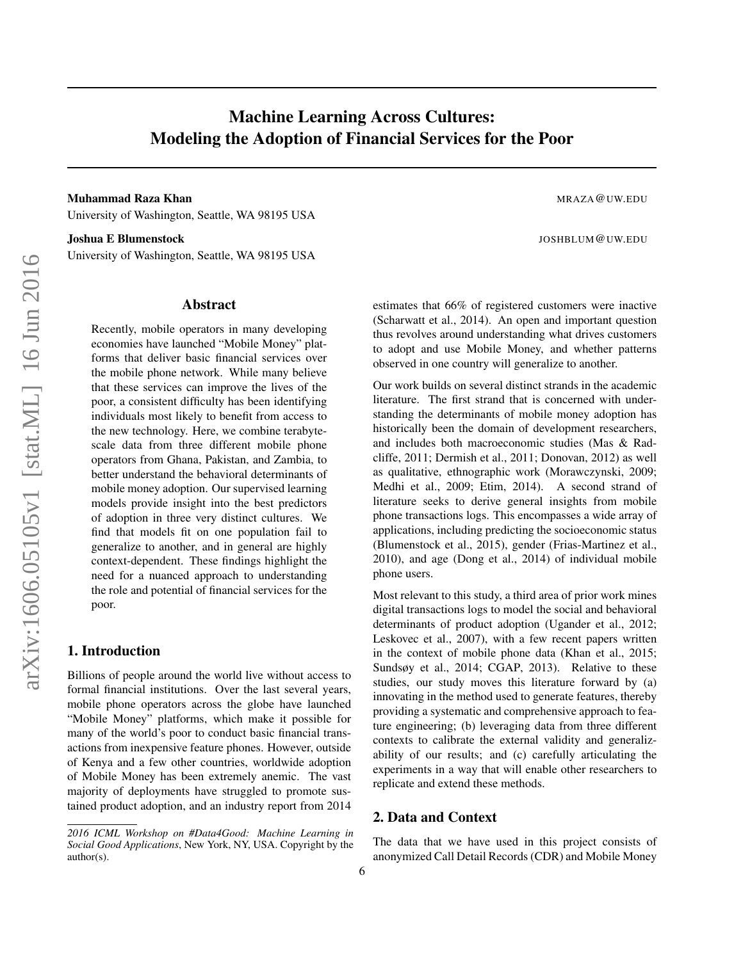# Machine Learning Across Cultures: Modeling the Adoption of Financial Services for the Poor

Muhammad Raza Khan Mahammad Raza Khan Mahammad Raza Khan Mahammad Raza Mahammad Raza Mahammad Raza Mahammad Ra University of Washington, Seattle, WA 98195 USA

Joshua E Blumenstock JOSHBLUM@UW.EDU

University of Washington, Seattle, WA 98195 USA

#### Abstract

Recently, mobile operators in many developing economies have launched "Mobile Money" platforms that deliver basic financial services over the mobile phone network. While many believe that these services can improve the lives of the poor, a consistent difficulty has been identifying individuals most likely to benefit from access to the new technology. Here, we combine terabytescale data from three different mobile phone operators from Ghana, Pakistan, and Zambia, to better understand the behavioral determinants of mobile money adoption. Our supervised learning models provide insight into the best predictors of adoption in three very distinct cultures. We find that models fit on one population fail to generalize to another, and in general are highly context-dependent. These findings highlight the need for a nuanced approach to understanding the role and potential of financial services for the poor.

# 1. Introduction

Billions of people around the world live without access to formal financial institutions. Over the last several years, mobile phone operators across the globe have launched "Mobile Money" platforms, which make it possible for many of the world's poor to conduct basic financial transactions from inexpensive feature phones. However, outside of Kenya and a few other countries, worldwide adoption of Mobile Money has been extremely anemic. The vast majority of deployments have struggled to promote sustained product adoption, and an industry report from 2014

6

estimates that 66% of registered customers were inactive (Scharwatt et al., 2014). An open and important question thus revolves around understanding what drives customers to adopt and use Mobile Money, and whether patterns observed in one country will generalize to another.

Our work builds on several distinct strands in the academic literature. The first strand that is concerned with understanding the determinants of mobile money adoption has historically been the domain of development researchers, and includes both macroeconomic studies (Mas & Radcliffe, 2011; Dermish et al., 2011; Donovan, 2012) as well as qualitative, ethnographic work (Morawczynski, 2009; Medhi et al., 2009; Etim, 2014). A second strand of literature seeks to derive general insights from mobile phone transactions logs. This encompasses a wide array of applications, including predicting the socioeconomic status (Blumenstock et al., 2015), gender (Frias-Martinez et al., 2010), and age (Dong et al., 2014) of individual mobile phone users.

Most relevant to this study, a third area of prior work mines digital transactions logs to model the social and behavioral determinants of product adoption (Ugander et al., 2012; Leskovec et al., 2007), with a few recent papers written in the context of mobile phone data (Khan et al., 2015; Sundsøy et al., 2014; CGAP, 2013). Relative to these studies, our study moves this literature forward by (a) innovating in the method used to generate features, thereby providing a systematic and comprehensive approach to feature engineering; (b) leveraging data from three different contexts to calibrate the external validity and generalizability of our results; and (c) carefully articulating the experiments in a way that will enable other researchers to replicate and extend these methods.

### 2. Data and Context

The data that we have used in this project consists of anonymized Call Detail Records (CDR) and Mobile Money

*<sup>2016</sup> ICML Workshop on #Data4Good: Machine Learning in Social Good Applications*, New York, NY, USA. Copyright by the author(s).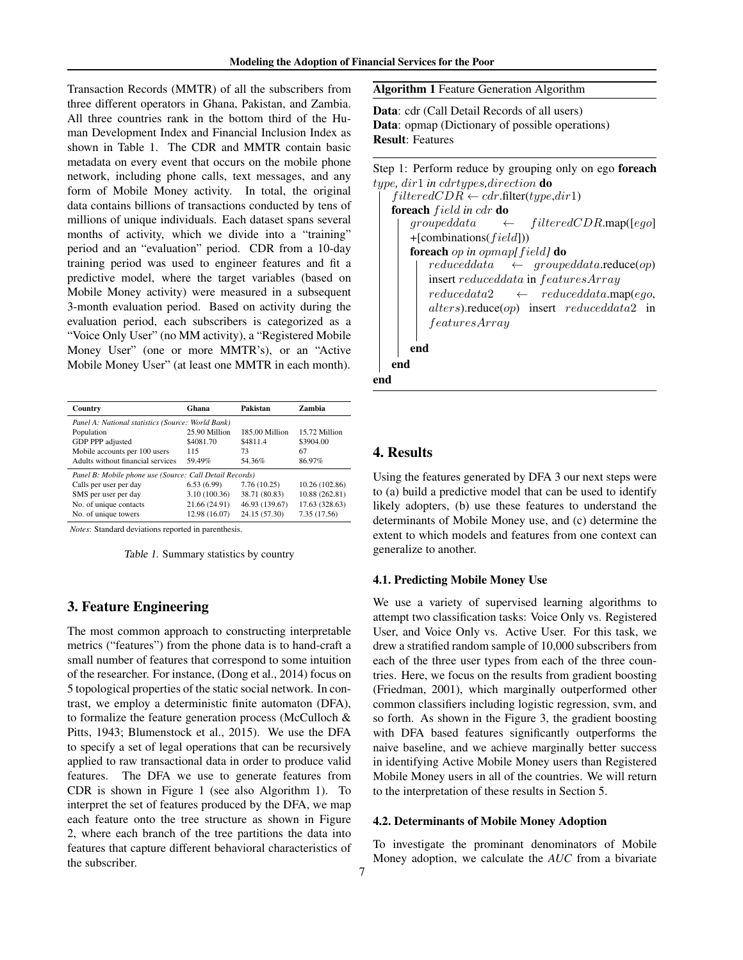Transaction Records (MMTR) of all the subscribers from three different operators in Ghana, Pakistan, and Zambia. All three countries rank in the bottom third of the Human Development Index and Financial Inclusion Index as shown in Table 1. The CDR and MMTR contain basic metadata on every event that occurs on the mobile phone network, including phone calls, text messages, and any form of Mobile Money activity. In total, the original data contains billions of transactions conducted by tens of millions of unique individuals. Each dataset spans several months of activity, which we divide into a "training" period and an "evaluation" period. CDR from a 10-day training period was used to engineer features and fit a predictive model, where the target variables (based on Mobile Money activity) were measured in a subsequent 3-month evaluation period. Based on activity during the evaluation period, each subscribers is categorized as a "Voice Only User" (no MM activity), a "Registered Mobile Money User" (one or more MMTR's), or an "Active Mobile Money User" (at least one MMTR in each month).

| Country                                                 | Ghana         | Pakistan       | Zambia         |
|---------------------------------------------------------|---------------|----------------|----------------|
| Panel A: National statistics (Source: World Bank)       |               |                |                |
| Population                                              | 25.90 Million | 185.00 Million | 15.72 Million  |
| GDP PPP adjusted                                        | \$4081.70     | \$4811.4       | \$3904.00      |
| Mobile accounts per 100 users                           | 115           | 73             | 67             |
| Adults without financial services                       | 59.49%        | 54.36%         | 86.97%         |
| Panel B: Mobile phone use (Source: Call Detail Records) |               |                |                |
| Calls per user per day                                  | 6.53(6.99)    | 7.76(10.25)    | 10.26 (102.86) |
| SMS per user per day                                    | 3.10(100.36)  | 38.71 (80.83)  | 10.88 (262.81) |
| No. of unique contacts                                  | 21.66 (24.91) | 46.93 (139.67) | 17.63 (328.63) |
| No. of unique towers                                    | 12.98 (16.07) | 24.15 (57.30)  | 7.35 (17.56)   |
|                                                         |               |                |                |

*Notes*: Standard deviations reported in parenthesis.

Table 1. Summary statistics by country

# 3. Feature Engineering

The most common approach to constructing interpretable metrics ("features") from the phone data is to hand-craft a small number of features that correspond to some intuition of the researcher. For instance, (Dong et al., 2014) focus on 5 topological properties of the static social network. In contrast, we employ a deterministic finite automaton (DFA), to formalize the feature generation process (McCulloch & Pitts, 1943; Blumenstock et al., 2015). We use the DFA to specify a set of legal operations that can be recursively applied to raw transactional data in order to produce valid features. The DFA we use to generate features from CDR is shown in Figure 1 (see also Algorithm 1). To interpret the set of features produced by the DFA, we map each feature onto the tree structure as shown in Figure 2, where each branch of the tree partitions the data into features that capture different behavioral characteristics of the subscriber.

Algorithm 1 Feature Generation Algorithm

Data: cdr (Call Detail Records of all users) Data: opmap (Dictionary of possible operations) Result: Features

Step 1: Perform reduce by grouping only on ego foreach type*,* dir1 *in* cdrtypes*,*direction do  $filteredCDR \leftarrow cdr$ .filter(type,dir1) foreach f ield *in* cdr do  $grouped data \leftarrow filtered CDRmap([ego])$  $+$ [combinations( $field$ ])) foreach op *in* opmap*[*f ield*]* do  $reduced data \leftarrow grouped data$ .reduce(op) insert reduceddata in featuresArray  $reducedata2 \leftarrow reduced data.\text{map}(ego,$ alters).reduce(op) insert reduceddata2 in featuresArray end end end

# 4. Results

Using the features generated by DFA 3 our next steps were to (a) build a predictive model that can be used to identify likely adopters, (b) use these features to understand the determinants of Mobile Money use, and (c) determine the extent to which models and features from one context can generalize to another.

#### 4.1. Predicting Mobile Money Use

We use a variety of supervised learning algorithms to attempt two classification tasks: Voice Only vs. Registered User, and Voice Only vs. Active User. For this task, we drew a stratified random sample of 10,000 subscribers from each of the three user types from each of the three countries. Here, we focus on the results from gradient boosting (Friedman, 2001), which marginally outperformed other common classifiers including logistic regression, svm, and so forth. As shown in the Figure 3, the gradient boosting with DFA based features significantly outperforms the naive baseline, and we achieve marginally better success in identifying Active Mobile Money users than Registered Mobile Money users in all of the countries. We will return to the interpretation of these results in Section 5.

#### 4.2. Determinants of Mobile Money Adoption

To investigate the prominant denominators of Mobile Money adoption, we calculate the *AUC* from a bivariate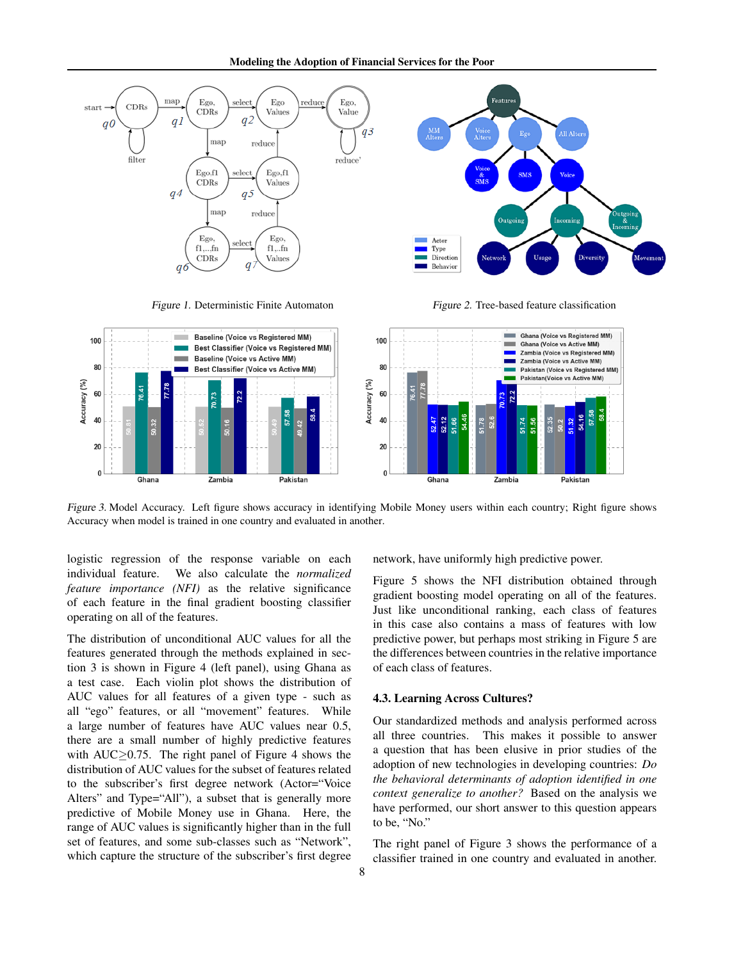





Figure 3. Model Accuracy. Left figure shows accuracy in identifying Mobile Money users within each country; Right figure shows Accuracy when model is trained in one country and evaluated in another.

logistic regression of the response variable on each individual feature. We also calculate the *normalized feature importance (NFI)* as the relative significance of each feature in the final gradient boosting classifier operating on all of the features.

The distribution of unconditional AUC values for all the features generated through the methods explained in section 3 is shown in Figure 4 (left panel), using Ghana as a test case. Each violin plot shows the distribution of AUC values for all features of a given type - such as all "ego" features, or all "movement" features. While a large number of features have AUC values near 0.5, there are a small number of highly predictive features with AUC $\geq$ 0.75. The right panel of Figure 4 shows the distribution of AUC values for the subset of features related to the subscriber's first degree network (Actor="Voice Alters" and Type="All"), a subset that is generally more predictive of Mobile Money use in Ghana. Here, the range of AUC values is significantly higher than in the full set of features, and some sub-classes such as "Network", which capture the structure of the subscriber's first degree network, have uniformly high predictive power.

Figure 5 shows the NFI distribution obtained through gradient boosting model operating on all of the features. Just like unconditional ranking, each class of features in this case also contains a mass of features with low predictive power, but perhaps most striking in Figure 5 are the differences between countries in the relative importance of each class of features.

#### 4.3. Learning Across Cultures?

Our standardized methods and analysis performed across all three countries. This makes it possible to answer a question that has been elusive in prior studies of the adoption of new technologies in developing countries: *Do the behavioral determinants of adoption identified in one context generalize to another?* Based on the analysis we have performed, our short answer to this question appears to be, "No."

The right panel of Figure 3 shows the performance of a classifier trained in one country and evaluated in another.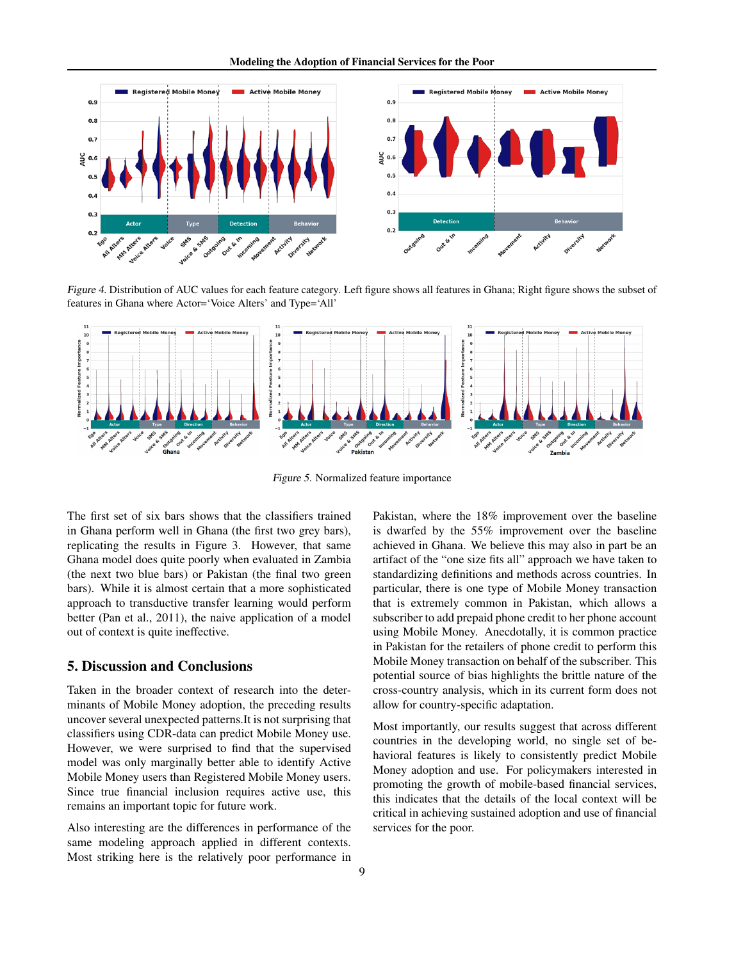

Figure 4. Distribution of AUC values for each feature category. Left figure shows all features in Ghana; Right figure shows the subset of features in Ghana where Actor='Voice Alters' and Type='All'



Figure 5. Normalized feature importance

The first set of six bars shows that the classifiers trained in Ghana perform well in Ghana (the first two grey bars), replicating the results in Figure 3. However, that same Ghana model does quite poorly when evaluated in Zambia (the next two blue bars) or Pakistan (the final two green bars). While it is almost certain that a more sophisticated approach to transductive transfer learning would perform better (Pan et al., 2011), the naive application of a model out of context is quite ineffective.

# 5. Discussion and Conclusions

Taken in the broader context of research into the determinants of Mobile Money adoption, the preceding results uncover several unexpected patterns.It is not surprising that classifiers using CDR-data can predict Mobile Money use. However, we were surprised to find that the supervised model was only marginally better able to identify Active Mobile Money users than Registered Mobile Money users. Since true financial inclusion requires active use, this remains an important topic for future work.

Also interesting are the differences in performance of the same modeling approach applied in different contexts. Most striking here is the relatively poor performance in

Pakistan, where the 18% improvement over the baseline is dwarfed by the 55% improvement over the baseline achieved in Ghana. We believe this may also in part be an artifact of the "one size fits all" approach we have taken to standardizing definitions and methods across countries. In particular, there is one type of Mobile Money transaction that is extremely common in Pakistan, which allows a subscriber to add prepaid phone credit to her phone account using Mobile Money. Anecdotally, it is common practice in Pakistan for the retailers of phone credit to perform this Mobile Money transaction on behalf of the subscriber. This potential source of bias highlights the brittle nature of the cross-country analysis, which in its current form does not allow for country-specific adaptation.

Most importantly, our results suggest that across different countries in the developing world, no single set of behavioral features is likely to consistently predict Mobile Money adoption and use. For policymakers interested in promoting the growth of mobile-based financial services, this indicates that the details of the local context will be critical in achieving sustained adoption and use of financial services for the poor.